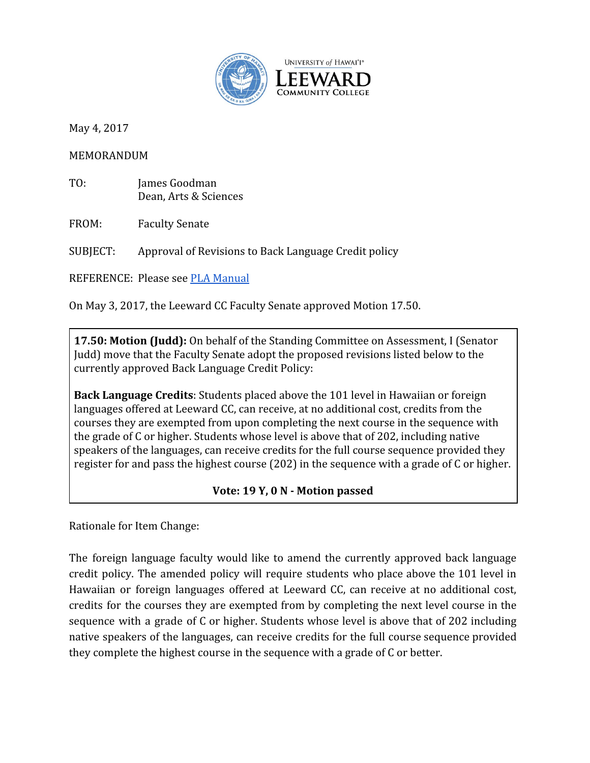

May 4, 2017

MEMORANDUM

TO: James Goodman Dean, Arts & Sciences

FROM: Faculty Senate

SUBJECT: Approval of Revisions to Back Language Credit policy

REFERENCE: Please see [PLA Manual](https://laulima.hawaii.edu/access/content/group/d503fa2c-aee6-43a2-bf5e-7e3261c31ffa/leewardcc_assessment/pla/Prior%20Learning%20Assessment_PLA%20Manual__formerly%20CCEP__Final_Published%20and%20Distributed_May%202015_revisions_Jan%202017.pdf)

On May 3, 2017, the Leeward CC Faculty Senate approved Motion 17.50.

**17.50: Motion (Judd):** On behalf of the Standing Committee on Assessment, I (Senator Judd) move that the Faculty Senate adopt the proposed revisions listed below to the currently approved Back Language Credit Policy:

**Back Language Credits**: Students placed above the 101 level in Hawaiian or foreign languages offered at Leeward CC, can receive, at no additional cost, credits from the courses they are exempted from upon completing the next course in the sequence with the grade of C or higher. Students whose level is above that of 202, including native speakers of the languages, can receive credits for the full course sequence provided they register for and pass the highest course (202) in the sequence with a grade of C or higher.

## **Vote: 19 Y, 0 N - Motion passed**

Rationale for Item Change:

The foreign language faculty would like to amend the currently approved back language credit policy. The amended policy will require students who place above the 101 level in Hawaiian or foreign languages offered at Leeward CC, can receive at no additional cost, credits for the courses they are exempted from by completing the next level course in the sequence with a grade of C or higher. Students whose level is above that of 202 including native speakers of the languages, can receive credits for the full course sequence provided they complete the highest course in the sequence with a grade of C or better.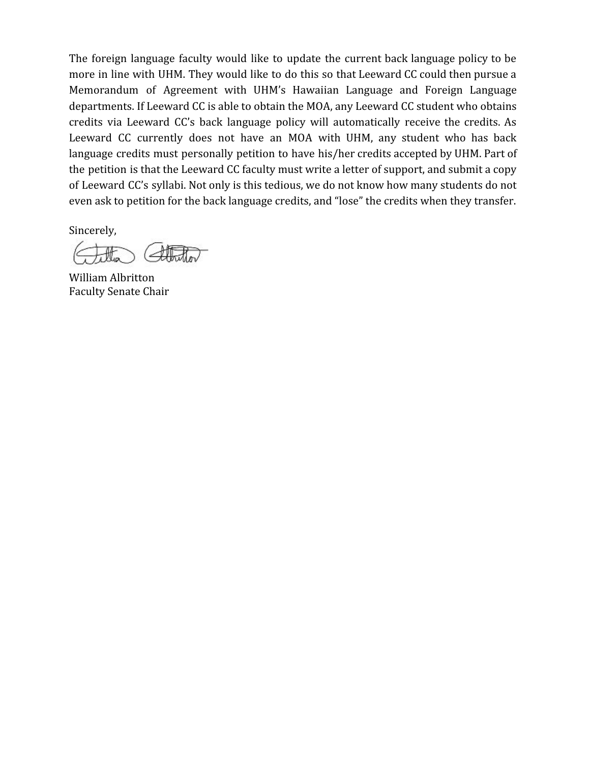The foreign language faculty would like to update the current back language policy to be more in line with UHM. They would like to do this so that Leeward CC could then pursue a Memorandum of Agreement with UHM's Hawaiian Language and Foreign Language departments. If Leeward CC is able to obtain the MOA, any Leeward CC student who obtains credits via Leeward CC's back language policy will automatically receive the credits. As Leeward CC currently does not have an MOA with UHM, any student who has back language credits must personally petition to have his/her credits accepted by UHM. Part of the petition is that the Leeward CC faculty must write a letter of support, and submit a copy of Leeward CC's syllabi. Not only is this tedious, we do not know how many students do not even ask to petition for the back language credits, and "lose" the credits when they transfer.

Sincerely,

William Albritton Faculty Senate Chair